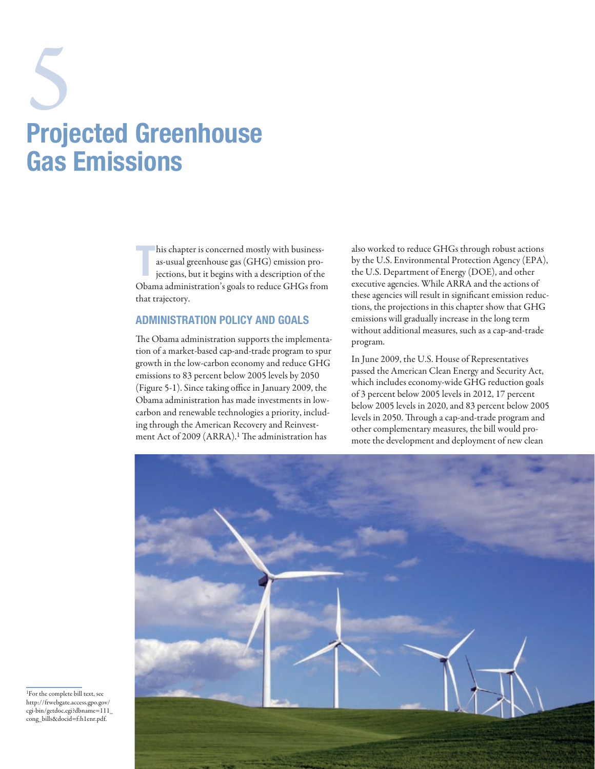# Projected Greenhouse Gas Emissions 5

T his chapter is concerned mostly with businessas-usual greenhouse gas (GHG) emission projections, but it begins with a description of the Obama administration's goals to reduce GHGs from that trajectory.

# Administration Policy and Goals

The Obama administration supports the implementation of a market-based cap-and-trade program to spur growth in the low-carbon economy and reduce GHG emissions to 83 percent below 2005 levels by 2050 (Figure 5-1). Since taking office in January 2009, the Obama administration has made investments in lowcarbon and renewable technologies a priority, including through the American Recovery and Reinvestment Act of 2009 (ARRA).<sup>1</sup> The administration has

also worked to reduce GHGs through robust actions by the U.S. Environmental Protection Agency (EPA), the U.S. Department of Energy (DOE), and other executive agencies. While ARRA and the actions of these agencies will result in significant emission reductions, the projections in this chapter show that GHG emissions will gradually increase in the long term without additional measures, such as a cap-and-trade program.

In June 2009, the U.S. House of Representatives passed the American Clean Energy and Security Act, which includes economy-wide GHG reduction goals of 3 percent below 2005 levels in 2012, 17 percent below 2005 levels in 2020, and 83 percent below 2005 levels in 2050. Through a cap-and-trade program and other complementary measures, the bill would promote the development and deployment of new clean



1For the complete bill text, see http://frwebgate.access.gpo.gov/ cgi-bin/getdoc.cgi?dbname=111\_ cong\_bills&docid=f:h1enr.pdf.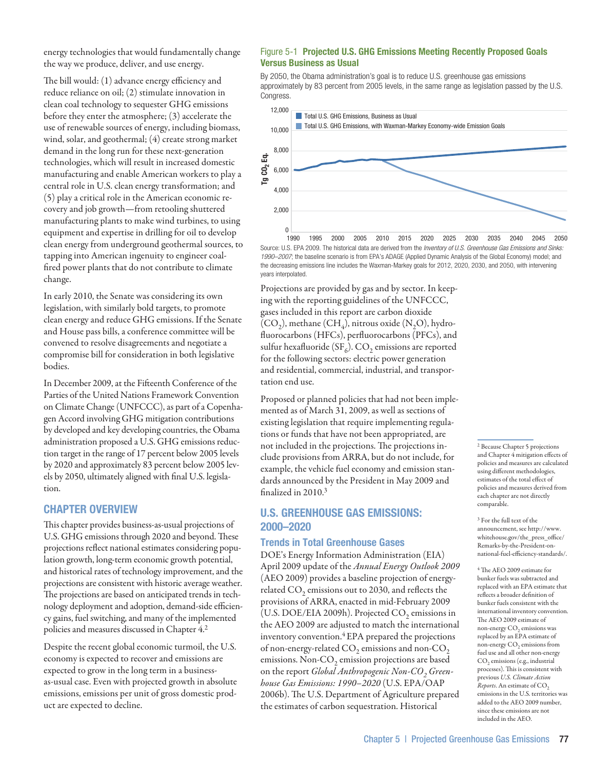energy technologies that would fundamentally change the way we produce, deliver, and use energy.

The bill would: (1) advance energy efficiency and reduce reliance on oil; (2) stimulate innovation in clean coal technology to sequester GHG emissions before they enter the atmosphere; (3) accelerate the use of renewable sources of energy, including biomass, wind, solar, and geothermal; (4) create strong market demand in the long run for these next-generation technologies, which will result in increased domestic manufacturing and enable American workers to play a central role in U.S. clean energy transformation; and (5) play a critical role in the American economic recovery and job growth—from retooling shuttered manufacturing plants to make wind turbines, to using equipment and expertise in drilling for oil to develop clean energy from underground geothermal sources, to tapping into American ingenuity to engineer coalfired power plants that do not contribute to climate change.

In early 2010, the Senate was considering its own legislation, with similarly bold targets, to promote clean energy and reduce GHG emissions. If the Senate and House pass bills, a conference committee will be convened to resolve disagreements and negotiate a compromise bill for consideration in both legislative bodies.

In December 2009, at the Fifteenth Conference of the Parties of the United Nations Framework Convention on Climate Change (UNFCCC), as part of a Copenhagen Accord involving GHG mitigation contributions by developed and key developing countries, the Obama administration proposed a U.S. GHG emissions reduction target in the range of 17 percent below 2005 levels by 2020 and approximately 83 percent below 2005 levels by 2050, ultimately aligned with final U.S. legislation.

## Chapter Overview

This chapter provides business-as-usual projections of U.S. GHG emissions through 2020 and beyond. These projections reflect national estimates considering population growth, long-term economic growth potential, and historical rates of technology improvement, and the projections are consistent with historic average weather. The projections are based on anticipated trends in technology deployment and adoption, demand-side efficiency gains, fuel switching, and many of the implemented policies and measures discussed in Chapter 4.2

Despite the recent global economic turmoil, the U.S. economy is expected to recover and emissions are expected to grow in the long term in a businessas-usual case. Even with projected growth in absolute emissions, emissions per unit of gross domestic product are expected to decline.

#### Figure 5-1 Projected U.S. GHG Emissions Meeting Recently Proposed Goals Versus Business as Usual

By 2050, the Obama administration's goal is to reduce U.S. greenhouse gas emissions approximately by 83 percent from 2005 levels, in the same range as legislation passed by the U.S. Congress



Source: U.S. EPA 2009. The historical data are derived from the *Inventory of U.S. Greenhouse Gas Emissions and Sinks: 1990–2007*; the baseline scenario is from EPA's ADAGE (Applied Dynamic Analysis of the Global Economy) model; and the decreasing emissions line includes the Waxman-Markey goals for 2012, 2020, 2030, and 2050, with intervening years interpolated.

Projections are provided by gas and by sector. In keeping with the reporting guidelines of the UNFCCC, gases included in this report are carbon dioxide  $(CO<sub>2</sub>)$ , methane  $(CH<sub>4</sub>)$ , nitrous oxide  $(N<sub>2</sub>O)$ , hydrofluorocarbons (HFCs), perfluorocarbons (PFCs), and sulfur hexafluoride ( $SF<sub>6</sub>$ ). CO<sub>2</sub> emissions are reported for the following sectors: electric power generation and residential, commercial, industrial, and transportation end use.

Proposed or planned policies that had not been implemented as of March 31, 2009, as well as sections of existing legislation that require implementing regulations or funds that have not been appropriated, are not included in the projections. The projections include provisions from ARRA, but do not include, for example, the vehicle fuel economy and emission standards announced by the President in May 2009 and finalized in 2010.3

# U.S. Greenhouse Gas Emissions: 2000–2020

## Trends in Total Greenhouse Gases

DOE's Energy Information Administration (EIA) April 2009 update of the *Annual Energy Outlook 2009*  (AEO 2009) provides a baseline projection of energyrelated  $CO<sub>2</sub>$  emissions out to 2030, and reflects the provisions of ARRA, enacted in mid-February 2009 (U.S. DOE/EIA 2009h). Projected CO<sub>2</sub> emissions in the AEO 2009 are adjusted to match the international inventory convention.4 EPA prepared the projections of non-energy-related  $CO<sub>2</sub>$  emissions and non- $CO<sub>2</sub>$ emissions. Non- $CO<sub>2</sub>$  emission projections are based on the report *Global Anthropogenic Non-CO<sub>2</sub> Greenhouse Gas Emissions: 1990–2020* (U.S. EPA/OAP 2006b). The U.S. Department of Agriculture prepared the estimates of carbon sequestration. Historical

2 Because Chapter 5 projections and Chapter 4 mitigation effects of policies and measures are calculated using different methodologies, estimates of the total effect of policies and measures derived from each chapter are not directly comparable.

3 For the full text of the announcement, see http://www. whitehouse.gov/the\_press\_office/ Remarks-by-the-President-onnational-fuel-efficiency-standards/.

4 The AEO 2009 estimate for bunker fuels was subtracted and replaced with an EPA estimate that reflects a broader definition of bunker fuels consistent with the international inventory convention. The AEO 2009 estimate of non-energy CO<sub>2</sub> emissions was replaced by an EPA estimate of non-energy  $CO<sub>2</sub>$  emissions from fuel use and all other non-energy CO<sub>2</sub> emissions (e.g., industrial processes). This is consistent with previous *U.S. Climate Action Reports*. An estimate of CO<sub>2</sub> emissions in the U.S. territories was added to the AEO 2009 number, since these emissions are not included in the AEO.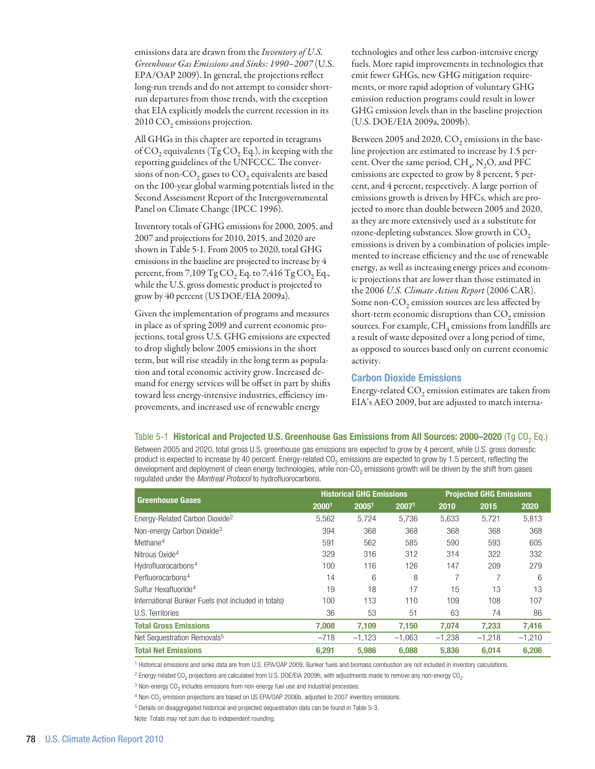emissions data are drawn from the *Inventory of U.S. Greenhouse Gas Emissions and Sinks: 1990–2007* (U.S. EPA/OAP 2009). In general, the projections reflect long-run trends and do not attempt to consider shortrun departures from those trends, with the exception that EIA explicitly models the current recession in its 2010 CO<sub>2</sub> emissions projection.

All GHGs in this chapter are reported in teragrams of  $CO<sub>2</sub>$  equivalents (Tg  $CO<sub>2</sub>$  Eq.), in keeping with the reporting guidelines of the UNFCCC. The conversions of non- $CO<sub>2</sub>$  gases to  $CO<sub>2</sub>$  equivalents are based on the 100-year global warming potentials listed in the Second Assessment Report of the Intergovernmental Panel on Climate Change (IPCC 1996).

Inventory totals of GHG emissions for 2000, 2005, and 2007 and projections for 2010, 2015, and 2020 are shown in Table 5-1. From 2005 to 2020, total GHG emissions in the baseline are projected to increase by 4 percent, from  $7,109$  Tg CO<sub>2</sub> Eq. to  $7,416$  Tg CO<sub>2</sub> Eq., while the U.S. gross domestic product is projected to grow by 40 percent (US DOE/EIA 2009a).

Given the implementation of programs and measures in place as of spring 2009 and current economic projections, total gross U.S. GHG emissions are expected to drop slightly below 2005 emissions in the short term, but will rise steadily in the long term as population and total economic activity grow. Increased demand for energy services will be offset in part by shifts toward less energy-intensive industries, efficiency improvements, and increased use of renewable energy

technologies and other less carbon-intensive energy fuels. More rapid improvements in technologies that emit fewer GHGs, new GHG mitigation requirements, or more rapid adoption of voluntary GHG emission reduction programs could result in lower GHG emission levels than in the baseline projection (U.S. DOE/EIA 2009a, 2009b).

Between 2005 and 2020,  $CO<sub>2</sub>$  emissions in the baseline projection are estimated to increase by 1.5 percent. Over the same period,  $CH<sub>A</sub>$ , N<sub>2</sub>O, and PFC emissions are expected to grow by 8 percent, 5 percent, and 4 percent, respectively. A large portion of emissions growth is driven by HFCs, which are projected to more than double between 2005 and 2020, as they are more extensively used as a substitute for ozone-depleting substances. Slow growth in  $CO<sub>2</sub>$ emissions is driven by a combination of policies implemented to increase efficiency and the use of renewable energy, as well as increasing energy prices and economic projections that are lower than those estimated in the 2006 *U.S. Climate Action Report* (2006 CAR). Some non-CO<sub>2</sub> emission sources are less affected by short-term economic disruptions than CO<sub>2</sub> emission sources. For example,  $CH_4$  emissions from landfills are a result of waste deposited over a long period of time, as opposed to sources based only on current economic activity.

#### Carbon Dioxide Emissions

Energy-related  $CO<sub>2</sub>$  emission estimates are taken from EIA's AEO 2009, but are adjusted to match interna-

Table 5-1 Historical and Projected U.S. Greenhouse Gas Emissions from All Sources: 2000–2020 (Tg CO<sub>2</sub> Eq.) Between 2005 and 2020, total gross U.S. greenhouse gas emissions are expected to grow by 4 percent, while U.S. gross domestic product is expected to increase by 40 percent. Energy-related CO<sub>2</sub> emissions are expected to grow by 1.5 percent, reflecting the development and deployment of clean energy technologies, while non- $CO<sub>2</sub>$  emissions growth will be driven by the shift from gases regulated under the *Montreal Protocol* to hydrofluorocarbons.

| <b>Greenhouse Gases</b>                             |        | <b>Historical GHG Emissions</b> |          | <b>Projected GHG Emissions</b> |          |          |
|-----------------------------------------------------|--------|---------------------------------|----------|--------------------------------|----------|----------|
|                                                     | 20001  | 20051                           | 20071    | 2010                           | 2015     | 2020     |
| Energy-Related Carbon Dioxide <sup>2</sup>          | 5,562  | 5.724                           | 5,736    | 5,633                          | 5.721    | 5,813    |
| Non-energy Carbon Dioxide <sup>3</sup>              | 394    | 368                             | 368      | 368                            | 368      | 368      |
| Methane <sup>4</sup>                                | 591    | 562                             | 585      | 590                            | 593      | 605      |
| Nitrous Oxide <sup>4</sup>                          | 329    | 316                             | 312      | 314                            | 322      | 332      |
| Hydrofluorocarbons <sup>4</sup>                     | 100    | 116                             | 126      | 147                            | 209      | 279      |
| Perfluorocarbons <sup>4</sup>                       | 14     | 6                               | 8        |                                |          | 6        |
| Sulfur Hexafluoride <sup>4</sup>                    | 19     | 18                              | 17       | 15                             | 13       | 13       |
| International Bunker Fuels (not included in totals) | 100    | 113                             | 110      | 109                            | 108      | 107      |
| U.S. Territories                                    | 36     | 53                              | 51       | 63                             | 74       | 86       |
| <b>Total Gross Emissions</b>                        | 7.008  | 7,109                           | 7.150    | 7.074                          | 7,233    | 7,416    |
| Net Sequestration Removals <sup>5</sup>             | $-718$ | $-1,123$                        | $-1,063$ | $-1,238$                       | $-1.218$ | $-1,210$ |
| <b>Total Net Emissions</b>                          | 6,291  | 5,986                           | 6.088    | 5,836                          | 6.014    | 6,206    |

<sup>1</sup> Historical emissions and sinks data are from U.S. EPA/OAP 2009. Bunker fuels and biomass combustion are not included in inventory calculations

 $^2$  Energy-related CO<sub>2</sub> projections are calculated from U.S. DOE/EIA 2009h, with adjustments made to remove any non-energy CO<sub>2</sub>.

 $3$  Non-energy CO<sub>2</sub> includes emissions from non-energy fuel use and industrial processes.

4 Non-CO<sub>2</sub> emission projections are based on US EPA/OAP 2006b, adjusted to 2007 inventory emissions.

5 Details on disaggregated historical and projected sequestration data can be found in Table 5-3.

Note: Totals may not sum due to independent rounding.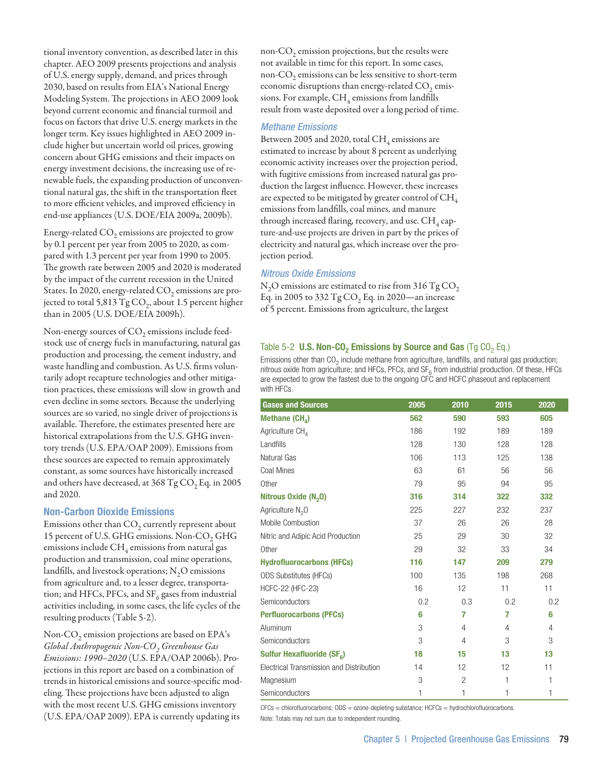tional inventory convention, as described later in this chapter. AEO 2009 presents projections and analysis of U.S. energy supply, demand, and prices through 2030, based on results from EIA's National Energy Modeling System. The projections in AEO 2009 look beyond current economic and financial turmoil and focus on factors that drive U.S. energy markets in the longer term. Key issues highlighted in AEO 2009 include higher but uncertain world oil prices, growing concern about GHG emissions and their impacts on energy investment decisions, the increasing use of renewable fuels, the expanding production of unconventional natural gas, the shift in the transportation fleet to more efficient vehicles, and improved efficiency in end-use appliances (U.S. DOE/EIA 2009a, 2009b).

Energy-related  $CO<sub>2</sub>$  emissions are projected to grow by 0.1 percent per year from 2005 to 2020, as compared with 1.3 percent per year from 1990 to 2005. The growth rate between 2005 and 2020 is moderated by the impact of the current recession in the United States. In 2020, energy-related CO<sub>2</sub> emissions are projected to total 5,813  $TgCO<sub>2</sub>$ , about 1.5 percent higher than in 2005 (U.S. DOE/EIA 2009h).

Non-energy sources of  $CO<sub>2</sub>$  emissions include feedstock use of energy fuels in manufacturing, natural gas production and processing, the cement industry, and waste handling and combustion. As U.S. firms voluntarily adopt recapture technologies and other mitigation practices, these emissions will slow in growth and even decline in some sectors. Because the underlying sources are so varied, no single driver of projections is available. Therefore, the estimates presented here are historical extrapolations from the U.S. GHG inventory trends (U.S. EPA/OAP 2009). Emissions from these sources are expected to remain approximately constant, as some sources have historically increased and others have decreased, at  $368$  Tg CO<sub>2</sub> Eq. in 2005 and 2020.

#### Non-Carbon Dioxide Emissions

Emissions other than  $CO<sub>2</sub>$  currently represent about 15 percent of U.S. GHG emissions. Non-CO<sub>2</sub> GHG emissions include  $CH_4$  emissions from natural gas production and transmission, coal mine operations, landfills, and livestock operations;  $N<sub>2</sub>O$  emissions from agriculture and, to a lesser degree, transportation; and HFCs, PFCs, and  $SF_6$  gases from industrial activities including, in some cases, the life cycles of the resulting products (Table 5-2).

Non-CO<sub>2</sub> emission projections are based on EPA's *Global Anthropogenic Non-CO2 Greenhouse Gas Emissions: 1990–2020* (U.S. EPA/OAP 2006b). Projections in this report are based on a combination of trends in historical emissions and source-specific modeling. These projections have been adjusted to align with the most recent U.S. GHG emissions inventory (U.S. EPA/OAP 2009). EPA is currently updating its

non-CO<sub>2</sub> emission projections, but the results were not available in time for this report. In some cases, non- $CO<sub>2</sub>$  emissions can be less sensitive to short-term economic disruptions than energy-related  $CO<sub>2</sub>$  emissions. For example,  $CH_4$  emissions from landfills result from waste deposited over a long period of time.

#### *Methane Emissions*

Between 2005 and 2020, total  $CH<sub>4</sub>$  emissions are estimated to increase by about 8 percent as underlying economic activity increases over the projection period, with fugitive emissions from increased natural gas production the largest influence. However, these increases are expected to be mitigated by greater control of  $\rm CH_{4}$ emissions from landfills, coal mines, and manure through increased flaring, recovery, and use.  $CH<sub>4</sub>$  capture-and-use projects are driven in part by the prices of electricity and natural gas, which increase over the projection period.

#### *Nitrous Oxide Emissions*

 $N<sub>2</sub>O$  emissions are estimated to rise from 316 Tg CO<sub>2</sub> Eq. in 2005 to 332  $TgCO<sub>2</sub>$  Eq. in 2020—an increase of 5 percent. Emissions from agriculture, the largest

### Table 5-2 U.S. Non-CO<sub>2</sub> Emissions by Source and Gas (Tg CO<sub>2</sub> Eq.)

Emissions other than  $CO<sub>2</sub>$  include methane from agriculture, landfills, and natural gas production; nitrous oxide from agriculture; and HFCs, PFCs, and  $SF<sub>6</sub>$  from industrial production. Of these, HFCs are expected to grow the fastest due to the ongoing CFC and HCFC phaseout and replacement with HFCs.

| <b>Gases and Sources</b>                 | 2005 | 2010           | 2015 | 2020           |
|------------------------------------------|------|----------------|------|----------------|
| Methane $(CH_{4})$                       | 562  | 590            | 593  | 605            |
| Agriculture CH <sub>4</sub>              | 186  | 192            | 189  | 189            |
| Landfills                                | 128  | 130            | 128  | 128            |
| Natural Gas                              | 106  | 113            | 125  | 138            |
| Coal Mines                               | 63   | 61             | 56   | 56             |
| Other                                    | 79   | 95             | 94   | 95             |
| Nitrous Oxide $(N,0)$                    | 316  | 314            | 322  | 332            |
| Agriculture N <sub>2</sub> O             | 225  | 227            | 232  | 237            |
| Mobile Combustion                        | 37   | 26             | 26   | 28             |
| Nitric and Adipic Acid Production        | 25   | 29             | 30   | 32             |
| Other                                    | 29   | 32             | 33   | 34             |
| <b>Hydrofluorocarbons (HFCs)</b>         | 116  | 147            | 209  | 279            |
| <b>ODS Substitutes (HFCs)</b>            | 100  | 135            | 198  | 268            |
| HCFC-22 (HFC-23)                         | 16   | 12             | 11   | 11             |
| Semiconductors                           | 0.2  | 0.3            | 0.2  | 0.2            |
| <b>Perfluorocarbons (PFCs)</b>           | 6    | 7              | 7    | 6              |
| Aluminum                                 | 3    | $\overline{4}$ | 4    | $\overline{4}$ |
| Semiconductors                           | 3    | $\overline{4}$ | 3    | 3              |
| Sulfur Hexafluoride (SF <sub>6</sub> )   | 18   | 15             | 13   | 13             |
| Electrical Transmission and Distribution | 14   | 12             | 12   | 11             |
| Magnesium                                | 3    | $\overline{2}$ | 1    | 1              |
| Semiconductors                           | 1    | 1              | 1    | 1              |

 $CFCs = chlorofluorocarbons$ ;  $ODS = ozone-depleting substance$ ;  $HCFCs = hydrochlorofluorocarbons$ .

Note: Totals may not sum due to independent rounding.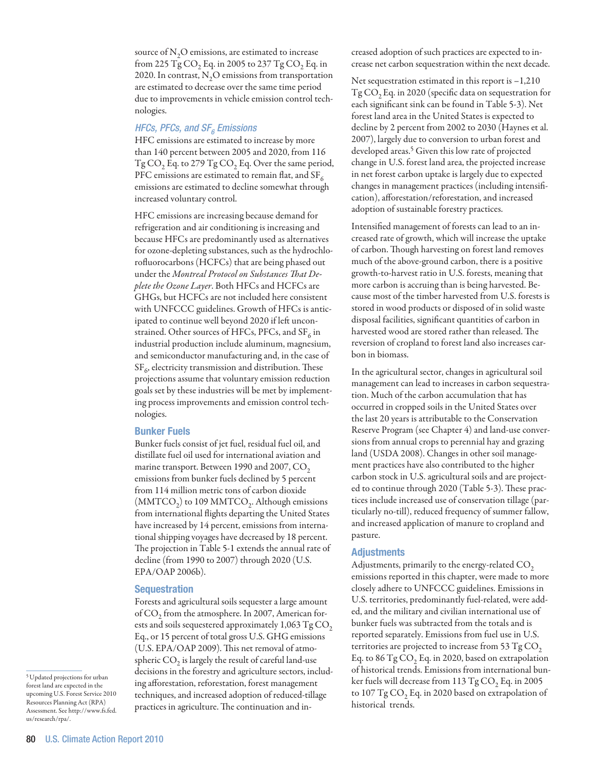source of  $\mathrm{N}_2\mathrm{O}$  emissions, are estimated to increase from 225 Tg  $CO<sub>2</sub>$  Eq. in 2005 to 237 Tg  $CO<sub>2</sub>$  Eq. in 2020. In contrast,  $N<sub>2</sub>O$  emissions from transportation are estimated to decrease over the same time period due to improvements in vehicle emission control technologies.

# *HFCs, PFCs, and SF<sub>6</sub> Emissions*

HFC emissions are estimated to increase by more than 140 percent between 2005 and 2020, from 116  $Tg\text{CO}_2$  Eq. to 279  $Tg\text{CO}_2$  Eq. Over the same period, PFC emissions are estimated to remain flat, and SF $_6$ emissions are estimated to decline somewhat through increased voluntary control.

HFC emissions are increasing because demand for refrigeration and air conditioning is increasing and because HFCs are predominantly used as alternatives for ozone-depleting substances, such as the hydrochlorofluorocarbons (HCFCs) that are being phased out under the *Montreal Protocol on Substances That Deplete the Ozone Layer*. Both HFCs and HCFCs are GHGs, but HCFCs are not included here consistent with UNFCCC guidelines. Growth of HFCs is anticipated to continue well beyond 2020 if left unconstrained. Other sources of HFCs, PFCs, and SF $_{6}$  in industrial production include aluminum, magnesium, and semiconductor manufacturing and, in the case of  $SF<sub>6</sub>$ , electricity transmission and distribution. These projections assume that voluntary emission reduction goals set by these industries will be met by implementing process improvements and emission control technologies.

#### Bunker Fuels

Bunker fuels consist of jet fuel, residual fuel oil, and distillate fuel oil used for international aviation and marine transport. Between 1990 and 2007, CO<sub>2</sub> emissions from bunker fuels declined by 5 percent from 114 million metric tons of carbon dioxide  $(MMTCO<sub>2</sub>)$  to 109 MMTCO<sub>2</sub>. Although emissions from international flights departing the United States have increased by 14 percent, emissions from international shipping voyages have decreased by 18 percent. The projection in Table 5-1 extends the annual rate of decline (from 1990 to 2007) through 2020 (U.S. EPA/OAP 2006b).

#### **Sequestration**

Forests and agricultural soils sequester a large amount of CO<sub>2</sub> from the atmosphere. In 2007, American forests and soils sequestered approximately  $1,063$  Tg CO<sub>2</sub> Eq., or 15 percent of total gross U.S. GHG emissions (U.S. EPA/OAP 2009). This net removal of atmospheric  $CO<sub>2</sub>$  is largely the result of careful land-use decisions in the forestry and agriculture sectors, including afforestation, reforestation, forest management techniques, and increased adoption of reduced-tillage practices in agriculture. The continuation and increased adoption of such practices are expected to increase net carbon sequestration within the next decade.

Net sequestration estimated in this report is  $-1,210$ Tg CO<sub>2</sub> Eq. in 2020 (specific data on sequestration for each significant sink can be found in Table 5-3). Net forest land area in the United States is expected to decline by 2 percent from 2002 to 2030 (Haynes et al. 2007), largely due to conversion to urban forest and developed areas.<sup>5</sup> Given this low rate of projected change in U.S. forest land area, the projected increase in net forest carbon uptake is largely due to expected changes in management practices (including intensification), afforestation/reforestation, and increased adoption of sustainable forestry practices.

Intensified management of forests can lead to an increased rate of growth, which will increase the uptake of carbon. Though harvesting on forest land removes much of the above-ground carbon, there is a positive growth-to-harvest ratio in U.S. forests, meaning that more carbon is accruing than is being harvested. Because most of the timber harvested from U.S. forests is stored in wood products or disposed of in solid waste disposal facilities, significant quantities of carbon in harvested wood are stored rather than released. The reversion of cropland to forest land also increases carbon in biomass.

In the agricultural sector, changes in agricultural soil management can lead to increases in carbon sequestration. Much of the carbon accumulation that has occurred in cropped soils in the United States over the last 20 years is attributable to the Conservation Reserve Program (see Chapter 4) and land-use conversions from annual crops to perennial hay and grazing land (USDA 2008). Changes in other soil management practices have also contributed to the higher carbon stock in U.S. agricultural soils and are projected to continue through 2020 (Table 5-3). These practices include increased use of conservation tillage (particularly no-till), reduced frequency of summer fallow, and increased application of manure to cropland and pasture.

#### Adjustments

Adjustments, primarily to the energy-related  $\mathrm{CO}_2$ emissions reported in this chapter, were made to more closely adhere to UNFCCC guidelines. Emissions in U.S. territories, predominantly fuel-related, were added, and the military and civilian international use of bunker fuels was subtracted from the totals and is reported separately. Emissions from fuel use in U.S. territories are projected to increase from 53  $TgCO<sub>2</sub>$ Eq. to  $86 \text{ Tg CO}_2$  Eq. in 2020, based on extrapolation of historical trends. Emissions from international bunker fuels will decrease from  $113 \text{ Tg CO}_2$  Eq. in 2005 to  $107 \text{ Tg CO}_2$  Eq. in 2020 based on extrapolation of historical trends.

<sup>5</sup> Updated projections for urban forest land are expected in the upcoming U.S. Forest Service 2010 Resources Planning Act (RPA) Assessment. See http://www.fs.fed. us/research/rpa/.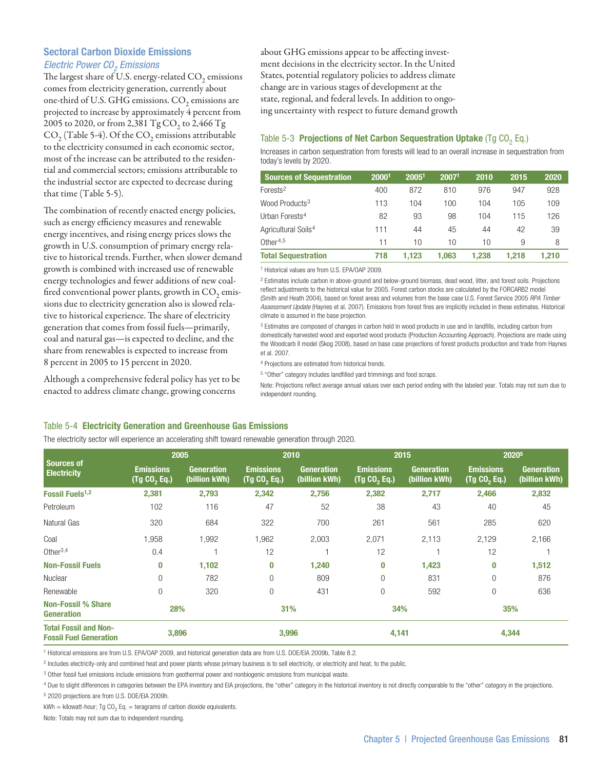# Sectoral Carbon Dioxide Emissions *Electric Power CO<sub>2</sub> Emissions*

The largest share of U.S. energy-related  $CO<sub>2</sub>$  emissions comes from electricity generation, currently about one-third of U.S. GHG emissions.  $CO<sub>2</sub>$  emissions are projected to increase by approximately 4 percent from 2005 to 2020, or from 2,381 Tg CO<sub>2</sub> to 2,466 Tg  $CO<sub>2</sub>$  (Table 5-4). Of the  $CO<sub>2</sub>$  emissions attributable to the electricity consumed in each economic sector, most of the increase can be attributed to the residential and commercial sectors; emissions attributable to the industrial sector are expected to decrease during that time (Table 5-5).

The combination of recently enacted energy policies, such as energy efficiency measures and renewable energy incentives, and rising energy prices slows the growth in U.S. consumption of primary energy relative to historical trends. Further, when slower demand growth is combined with increased use of renewable energy technologies and fewer additions of new coalfired conventional power plants, growth in  $CO<sub>2</sub>$  emissions due to electricity generation also is slowed relative to historical experience. The share of electricity generation that comes from fossil fuels—primarily, coal and natural gas—is expected to decline, and the share from renewables is expected to increase from 8 percent in 2005 to 15 percent in 2020.

Although a comprehensive federal policy has yet to be enacted to address climate change, growing concerns

about GHG emissions appear to be affecting investment decisions in the electricity sector. In the United States, potential regulatory policies to address climate change are in various stages of development at the state, regional, and federal levels. In addition to ongoing uncertainty with respect to future demand growth

## Table 5-3 Projections of Net Carbon Sequestration Uptake (Tg  $CO<sub>2</sub>$  Eq.)

Increases in carbon sequestration from forests will lead to an overall increase in sequestration from today's levels by 2020.

| <b>Sources of Sequestration</b> | 20001 | 20051 | 20071 | 2010  | 2015  | 2020  |
|---------------------------------|-------|-------|-------|-------|-------|-------|
| $For ests2$                     | 400   | 872   | 810   | 976   | 947   | 928   |
| Wood Products <sup>3</sup>      | 113   | 104   | 100   | 104   | 105   | 109   |
| Urban Forests <sup>4</sup>      | 82    | 93    | 98    | 104   | 115   | 126   |
| Agricultural Soils <sup>4</sup> | 111   | 44    | 45    | 44    | 42    | 39    |
| Other <sup>4,5</sup>            | 11    | 10    | 10    | 10    | 9     | 8     |
| <b>Total Sequestration</b>      | 718   | 1.123 | 1.063 | 1.238 | 1.218 | 1.210 |

1 Historical values are from U.S. EPA/OAP 2009.

2 Estimates include carbon in above-ground and below-ground biomass, dead wood, litter, and forest soils. Projections reflect adjustments to the historical value for 2005. Forest carbon stocks are calculated by the FORCARB2 model (Smith and Heath 2004), based on forest areas and volumes from the base case U.S. Forest Service 2005 *RPA Timber Assessment Update* (Haynes et al. 2007). Emissions from forest fires are implicitly included in these estimates. Historical climate is assumed in the base projection.

<sup>3</sup> Estimates are composed of changes in carbon held in wood products in use and in landfills, including carbon from domestically harvested wood and exported wood products (Production Accounting Approach). Projections are made using the Woodcarb II model (Skog 2008), based on base case projections of forest products production and trade from Haynes et al. 2007.

4 Projections are estimated from historical trends.

5 "Other" category includes landfilled yard trimmings and food scraps.

Note: Projections reflect average annual values over each period ending with the labeled year. Totals may not sum due to independent rounding.

#### Table 5-4 Electricity Generation and Greenhouse Gas Emissions

The electricity sector will experience an accelerating shift toward renewable generation through 2020.

| Sources of                                                    | 2005                                         |                                    | 2010                             |                                    | 2015                                         |                                    | 2020 <sup>5</sup>                                         |                                    |
|---------------------------------------------------------------|----------------------------------------------|------------------------------------|----------------------------------|------------------------------------|----------------------------------------------|------------------------------------|-----------------------------------------------------------|------------------------------------|
| <b>Electricity</b>                                            | <b>Emissions</b><br>(Tg CO <sub>2</sub> Eq.) | <b>Generation</b><br>(billion kWh) | <b>Emissions</b><br>(Tg CO, Eq.) | <b>Generation</b><br>(billion kWh) | <b>Emissions</b><br>(Tg CO <sub>2</sub> Eq.) | <b>Generation</b><br>(billion kWh) | <b>Emissions</b><br>$(\mathsf{Tg\;CO}_{2}\;\mathsf{Eq.})$ | <b>Generation</b><br>(billion kWh) |
| <b>Fossil Fuels<sup>1,2</sup></b>                             | 2,381                                        | 2,793                              | 2,342                            | 2,756                              | 2,382                                        | 2,717                              | 2,466                                                     | 2,832                              |
| Petroleum                                                     | 102                                          | 116                                | 47                               | 52                                 | 38                                           | 43                                 | 40                                                        | 45                                 |
| Natural Gas                                                   | 320                                          | 684                                | 322                              | 700                                | 261                                          | 561                                | 285                                                       | 620                                |
| Coal                                                          | 958,                                         | .992                               | 1,962                            | 2,003                              | 2,071                                        | 2,113                              | 2,129                                                     | 2,166                              |
| Other <sup>3,4</sup>                                          | 0.4                                          |                                    | 12                               |                                    | 12                                           |                                    | 12                                                        |                                    |
| <b>Non-Fossil Fuels</b>                                       | 0                                            | 1.102                              | $\bf{0}$                         | 1,240                              | $\bf{0}$                                     | 1,423                              | 0                                                         | 1,512                              |
| Nuclear                                                       | $\overline{0}$                               | 782                                | $\overline{0}$                   | 809                                | $\overline{0}$                               | 831                                | $\overline{0}$                                            | 876                                |
| Renewable                                                     | $\overline{0}$                               | 320                                | $\mathbf{0}$                     | 431                                | 0                                            | 592                                | $\mathbf 0$                                               | 636                                |
| <b>Non-Fossil % Share</b><br>Generation                       | 28%                                          |                                    | 31%                              |                                    | 34%                                          |                                    | 35%                                                       |                                    |
| <b>Total Fossil and Non-</b><br><b>Fossil Fuel Generation</b> | 3,896                                        |                                    | 3,996                            |                                    | 4,141                                        |                                    | 4,344                                                     |                                    |

1 Historical emissions are from U.S. EPA/OAP 2009, and historical generation data are from U.S. DOE/EIA 2009b, Table 8.2.

<sup>2</sup> Includes electricity-only and combined heat and power plants whose primary business is to sell electricity, or electricity and heat, to the public.

3 Other fossil fuel emissions include emissions from geothermal power and nonbiogenic emissions from municipal waste.

4 Due to slight differences in categories between the EPA inventory and EIA projections, the "other" category in the historical inventory is not directly comparable to the "other" category in the projections. 5 2020 projections are from U.S. DOE/EIA 2009h.

 $kWh = kilowatt-hour$ ; Tq CO<sub>2</sub> Eq. = teragrams of carbon dioxide equivalents.

Note: Totals may not sum due to independent rounding.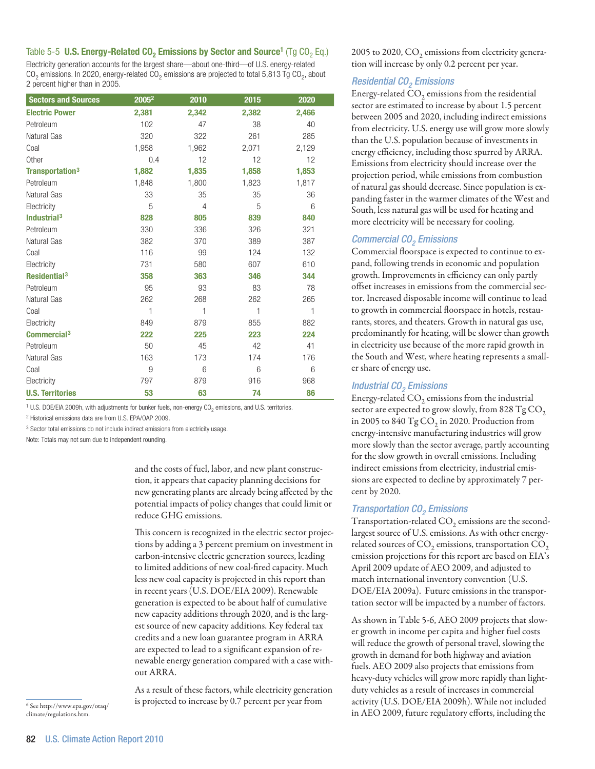## Table 5-5 U.S. Energy-Related CO<sub>2</sub> Emissions by Sector and Source<sup>1</sup> (Tg CO<sub>2</sub> Eq.)

Electricity generation accounts for the largest share—about one-third—of U.S. energy-related  $CO<sub>2</sub>$  emissions. In 2020, energy-related  $CO<sub>2</sub>$  emissions are projected to total 5,813 Tg  $CO<sub>2</sub>$ , about 2 percent higher than in 2005.

| <b>Sectors and Sources</b>  | 2005 <sup>2</sup> | 2010  | 2015  | 2020  |
|-----------------------------|-------------------|-------|-------|-------|
| <b>Electric Power</b>       | 2,381             | 2,342 | 2,382 | 2,466 |
| Petroleum                   | 102               | 47    | 38    | 40    |
| Natural Gas                 | 320               | 322   | 261   | 285   |
| Coal                        | 1,958             | 1,962 | 2,071 | 2,129 |
| Other                       | 0.4               | 12    | 12    | 12    |
| Transportation <sup>3</sup> | 1,882             | 1,835 | 1,858 | 1,853 |
| Petroleum                   | 1,848             | 1,800 | 1,823 | 1,817 |
| Natural Gas                 | 33                | 35    | 35    | 36    |
| Electricity                 | 5                 | 4     | 5     | 6     |
| Industrial $3$              | 828               | 805   | 839   | 840   |
| Petroleum                   | 330               | 336   | 326   | 321   |
| Natural Gas                 | 382               | 370   | 389   | 387   |
| Coal                        | 116               | 99    | 124   | 132   |
| Electricity                 | 731               | 580   | 607   | 610   |
| Residential <sup>3</sup>    | 358               | 363   | 346   | 344   |
| Petroleum                   | 95                | 93    | 83    | 78    |
| Natural Gas                 | 262               | 268   | 262   | 265   |
| Coal                        | 1                 | 1     | 1     | 1     |
| Electricity                 | 849               | 879   | 855   | 882   |
| Commercial <sup>3</sup>     | 222               | 225   | 223   | 224   |
| Petroleum                   | 50                | 45    | 42    | 41    |
| Natural Gas                 | 163               | 173   | 174   | 176   |
| Coal                        | 9                 | 6     | 6     | 6     |
| Electricity                 | 797               | 879   | 916   | 968   |
| <b>U.S. Territories</b>     | 53                | 63    | 74    | 86    |

<sup>1</sup> U.S. DOE/EIA 2009h, with adjustments for bunker fuels, non-energy CO<sub>2</sub> emissions, and U.S. territories.

2 Historical emissions data are from U.S. EPA/OAP 2009.

<sup>3</sup> Sector total emissions do not include indirect emissions from electricity usage.

Note: Totals may not sum due to independent rounding.

and the costs of fuel, labor, and new plant construction, it appears that capacity planning decisions for new generating plants are already being affected by the potential impacts of policy changes that could limit or reduce GHG emissions.

This concern is recognized in the electric sector projections by adding a 3 percent premium on investment in carbon-intensive electric generation sources, leading to limited additions of new coal-fired capacity. Much less new coal capacity is projected in this report than in recent years (U.S. DOE/EIA 2009). Renewable generation is expected to be about half of cumulative new capacity additions through 2020, and is the largest source of new capacity additions. Key federal tax credits and a new loan guarantee program in ARRA are expected to lead to a significant expansion of renewable energy generation compared with a case without ARRA.

As a result of these factors, while electricity generation is projected to increase by 0.7 percent per year from

2005 to 2020,  $CO<sub>2</sub>$  emissions from electricity generation will increase by only 0.2 percent per year.

### *Residential CO2 Emissions*

Energy-related  $CO<sub>2</sub>$  emissions from the residential sector are estimated to increase by about 1.5 percent between 2005 and 2020, including indirect emissions from electricity. U.S. energy use will grow more slowly than the U.S. population because of investments in energy efficiency, including those spurred by ARRA. Emissions from electricity should increase over the projection period, while emissions from combustion of natural gas should decrease. Since population is expanding faster in the warmer climates of the West and South, less natural gas will be used for heating and more electricity will be necessary for cooling.

#### *Commercial CO<sub>2</sub> Emissions*

Commercial floorspace is expected to continue to expand, following trends in economic and population growth. Improvements in efficiency can only partly offset increases in emissions from the commercial sector. Increased disposable income will continue to lead to growth in commercial floorspace in hotels, restaurants, stores, and theaters. Growth in natural gas use, predominantly for heating, will be slower than growth in electricity use because of the more rapid growth in the South and West, where heating represents a smaller share of energy use.

#### *Industrial CO<sub>2</sub> Emissions*

Energy-related  $CO<sub>2</sub>$  emissions from the industrial sector are expected to grow slowly, from 828 Tg  $\mathrm{CO}_2$ in 2005 to 840  $Tg$  CO<sub>2</sub> in 2020. Production from energy-intensive manufacturing industries will grow more slowly than the sector average, partly accounting for the slow growth in overall emissions. Including indirect emissions from electricity, industrial emissions are expected to decline by approximately 7 percent by 2020.

#### *Transportation CO<sub>2</sub> Emissions*

Transportation-related  $CO<sub>2</sub>$  emissions are the secondlargest source of U.S. emissions. As with other energyrelated sources of  $\mathrm{CO}_2$  emissions, transportation  $\mathrm{CO}_2$ emission projections for this report are based on EIA's April 2009 update of AEO 2009, and adjusted to match international inventory convention (U.S. DOE/EIA 2009a). Future emissions in the transportation sector will be impacted by a number of factors.

As shown in Table 5-6, AEO 2009 projects that slower growth in income per capita and higher fuel costs will reduce the growth of personal travel, slowing the growth in demand for both highway and aviation fuels. AEO 2009 also projects that emissions from heavy-duty vehicles will grow more rapidly than lightduty vehicles as a result of increases in commercial activity (U.S. DOE/EIA 2009h). While not included in AEO 2009, future regulatory efforts, including the

 $^6$  See http://www.epa.gov/otaq/ climate/regulations.htm.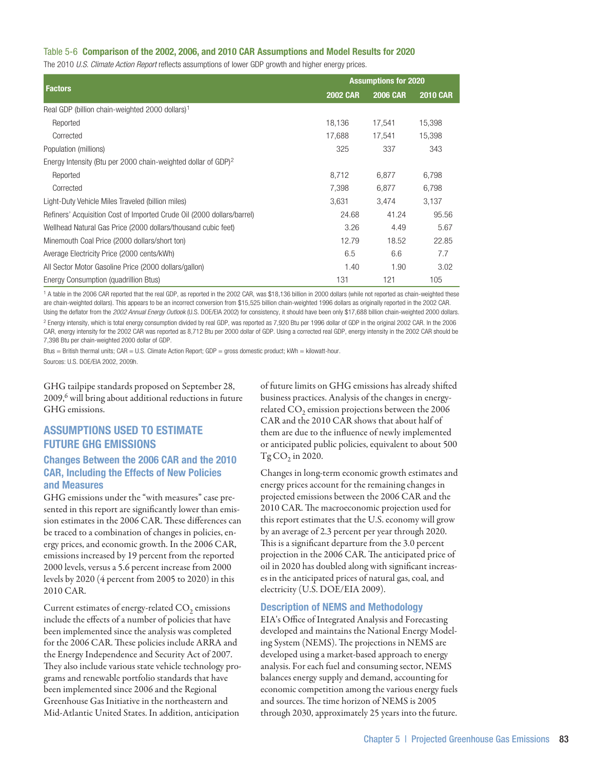## Table 5-6 Comparison of the 2002, 2006, and 2010 CAR Assumptions and Model Results for 2020

The 2010 *U.S. Climate Action Report* reflects assumptions of lower GDP growth and higher energy prices.

|                                                                           | <b>Assumptions for 2020</b> |                 |                 |  |  |
|---------------------------------------------------------------------------|-----------------------------|-----------------|-----------------|--|--|
| <b>Factors</b>                                                            | <b>2002 CAR</b>             | <b>2006 CAR</b> | <b>2010 CAR</b> |  |  |
| Real GDP (billion chain-weighted 2000 dollars) <sup>1</sup>               |                             |                 |                 |  |  |
| Reported                                                                  | 18,136                      | 17,541          | 15,398          |  |  |
| Corrected                                                                 | 17,688                      | 17,541          | 15,398          |  |  |
| Population (millions)                                                     | 325                         | 337             | 343             |  |  |
| Energy Intensity (Btu per 2000 chain-weighted dollar of GDP) <sup>2</sup> |                             |                 |                 |  |  |
| Reported                                                                  | 8,712                       | 6,877           | 6,798           |  |  |
| Corrected                                                                 | 7,398                       | 6,877           | 6,798           |  |  |
| Light-Duty Vehicle Miles Traveled (billion miles)                         | 3,631                       | 3,474           | 3,137           |  |  |
| Refiners' Acquisition Cost of Imported Crude Oil (2000 dollars/barrel)    | 24.68                       | 41.24           | 95.56           |  |  |
| Wellhead Natural Gas Price (2000 dollars/thousand cubic feet)             | 3.26                        | 4.49            | 5.67            |  |  |
| Minemouth Coal Price (2000 dollars/short ton)                             | 12.79                       | 18.52           | 22.85           |  |  |
| Average Electricity Price (2000 cents/kWh)                                | 6.5                         | 6.6             | 7.7             |  |  |
| All Sector Motor Gasoline Price (2000 dollars/gallon)                     | 1.40                        | 1.90            | 3.02            |  |  |
| Energy Consumption (quadrillion Btus)                                     | 131                         | 121             | 105             |  |  |

1 A table in the 2006 CAR reported that the real GDP, as reported in the 2002 CAR, was \$18,136 billion in 2000 dollars (while not reported as chain-weighted these are chain-weighted dollars). This appears to be an incorrect conversion from \$15,525 billion chain-weighted 1996 dollars as originally reported in the 2002 CAR. Using the deflator from the *2002 Annual Energy Outlook* (U.S. DOE/EIA 2002) for consistency, it should have been only \$17,688 billion chain-weighted 2000 dollars.  $^2$  Energy intensity, which is total energy consumption divided by real GDP, was reported as 7,920 Btu per 1996 dollar of GDP in the original 2002 CAR. In the 2006 CAR, energy intensity for the 2002 CAR was reported as 8,712 Btu per 2000 dollar of GDP. Using a corrected real GDP, energy intensity in the 2002 CAR should be 7,398 Btu per chain-weighted 2000 dollar of GDP.

Btus = British thermal units;  $CAR = U.S.$  Climate Action Report;  $GDP =$  gross domestic product;  $kWh =$  kilowatt-hour. Sources: U.S. DOE/EIA 2002, 2009h.

GHG tailpipe standards proposed on September 28, 2009,<sup>6</sup> will bring about additional reductions in future GHG emissions.

# Assumptions Used to Estimate Future GHG Emissions

## Changes Between the 2006 CAR and the 2010 CAR, Including the Effects of New Policies and Measures

GHG emissions under the "with measures" case presented in this report are significantly lower than emission estimates in the 2006 CAR. These differences can be traced to a combination of changes in policies, energy prices, and economic growth. In the 2006 CAR, emissions increased by 19 percent from the reported 2000 levels, versus a 5.6 percent increase from 2000 levels by 2020 (4 percent from 2005 to 2020) in this 2010 CAR.

Current estimates of energy-related  $CO<sub>2</sub>$  emissions include the effects of a number of policies that have been implemented since the analysis was completed for the 2006 CAR. These policies include ARRA and the Energy Independence and Security Act of 2007. They also include various state vehicle technology programs and renewable portfolio standards that have been implemented since 2006 and the Regional Greenhouse Gas Initiative in the northeastern and Mid-Atlantic United States. In addition, anticipation

of future limits on GHG emissions has already shifted business practices. Analysis of the changes in energyrelated CO<sub>2</sub> emission projections between the 2006 CAR and the 2010 CAR shows that about half of them are due to the influence of newly implemented or anticipated public policies, equivalent to about 500  $Tg CO$ , in 2020.

Changes in long-term economic growth estimates and energy prices account for the remaining changes in projected emissions between the 2006 CAR and the 2010 CAR. The macroeconomic projection used for this report estimates that the U.S. economy will grow by an average of 2.3 percent per year through 2020. This is a significant departure from the 3.0 percent projection in the 2006 CAR. The anticipated price of oil in 2020 has doubled along with significant increases in the anticipated prices of natural gas, coal, and electricity (U.S. DOE/EIA 2009).

## Description of NEMS and Methodology

EIA's Office of Integrated Analysis and Forecasting developed and maintains the National Energy Modeling System (NEMS). The projections in NEMS are developed using a market-based approach to energy analysis. For each fuel and consuming sector, NEMS balances energy supply and demand, accounting for economic competition among the various energy fuels and sources. The time horizon of NEMS is 2005 through 2030, approximately 25 years into the future.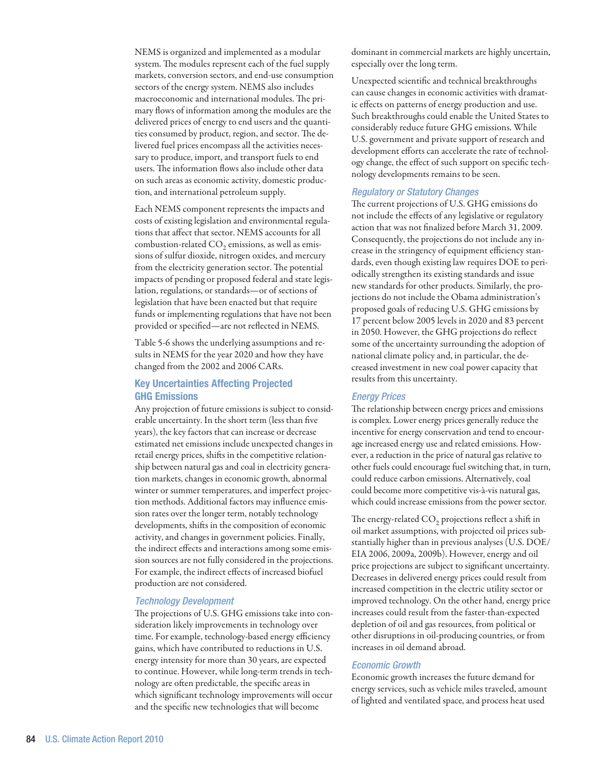NEMS is organized and implemented as a modular system. The modules represent each of the fuel supply markets, conversion sectors, and end-use consumption sectors of the energy system. NEMS also includes macroeconomic and international modules. The primary flows of information among the modules are the delivered prices of energy to end users and the quantities consumed by product, region, and sector. The delivered fuel prices encompass all the activities necessary to produce, import, and transport fuels to end users. The information flows also include other data on such areas as economic activity, domestic production, and international petroleum supply.

Each NEMS component represents the impacts and costs of existing legislation and environmental regulations that affect that sector. NEMS accounts for all combustion-related  $CO<sub>2</sub>$  emissions, as well as emissions of sulfur dioxide, nitrogen oxides, and mercury from the electricity generation sector. The potential impacts of pending or proposed federal and state legislation, regulations, or standards—or of sections of legislation that have been enacted but that require funds or implementing regulations that have not been provided or specified—are not reflected in NEMS.

Table 5-6 shows the underlying assumptions and results in NEMS for the year 2020 and how they have changed from the 2002 and 2006 CARs.

# Key Uncertainties Affecting Projected GHG Emissions

Any projection of future emissions is subject to considerable uncertainty. In the short term (less than five years), the key factors that can increase or decrease estimated net emissions include unexpected changes in retail energy prices, shifts in the competitive relationship between natural gas and coal in electricity generation markets, changes in economic growth, abnormal winter or summer temperatures, and imperfect projection methods. Additional factors may influence emission rates over the longer term, notably technology developments, shifts in the composition of economic activity, and changes in government policies. Finally, the indirect effects and interactions among some emission sources are not fully considered in the projections. For example, the indirect effects of increased biofuel production are not considered.

#### *Technology Development*

The projections of U.S. GHG emissions take into consideration likely improvements in technology over time. For example, technology-based energy efficiency gains, which have contributed to reductions in U.S. energy intensity for more than 30 years, are expected to continue. However, while long-term trends in technology are often predictable, the specific areas in which significant technology improvements will occur and the specific new technologies that will become

dominant in commercial markets are highly uncertain, especially over the long term.

Unexpected scientific and technical breakthroughs can cause changes in economic activities with dramatic effects on patterns of energy production and use. Such breakthroughs could enable the United States to considerably reduce future GHG emissions. While U.S. government and private support of research and development efforts can accelerate the rate of technology change, the effect of such support on specific technology developments remains to be seen.

#### *Regulatory or Statutory Changes*

The current projections of U.S. GHG emissions do not include the effects of any legislative or regulatory action that was not finalized before March 31, 2009. Consequently, the projections do not include any increase in the stringency of equipment efficiency standards, even though existing law requires DOE to periodically strengthen its existing standards and issue new standards for other products. Similarly, the projections do not include the Obama administration's proposed goals of reducing U.S. GHG emissions by 17 percent below 2005 levels in 2020 and 83 percent in 2050. However, the GHG projections do reflect some of the uncertainty surrounding the adoption of national climate policy and, in particular, the decreased investment in new coal power capacity that results from this uncertainty.

#### *Energy Prices*

The relationship between energy prices and emissions is complex. Lower energy prices generally reduce the incentive for energy conservation and tend to encourage increased energy use and related emissions. However, a reduction in the price of natural gas relative to other fuels could encourage fuel switching that, in turn, could reduce carbon emissions. Alternatively, coal could become more competitive vis-à-vis natural gas, which could increase emissions from the power sector.

The energy-related CO<sub>2</sub> projections reflect a shift in oil market assumptions, with projected oil prices substantially higher than in previous analyses (U.S. DOE/ EIA 2006, 2009a, 2009b). However, energy and oil price projections are subject to significant uncertainty. Decreases in delivered energy prices could result from increased competition in the electric utility sector or improved technology. On the other hand, energy price increases could result from the faster-than-expected depletion of oil and gas resources, from political or other disruptions in oil-producing countries, or from increases in oil demand abroad.

### *Economic Growth*

Economic growth increases the future demand for energy services, such as vehicle miles traveled, amount of lighted and ventilated space, and process heat used